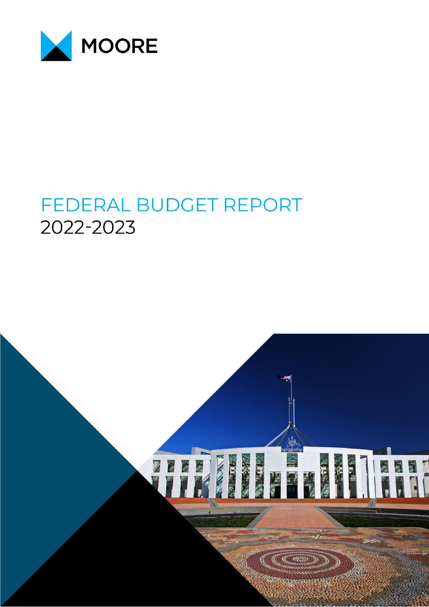

# FEDERAL BUDGET REPORT 2022-2023

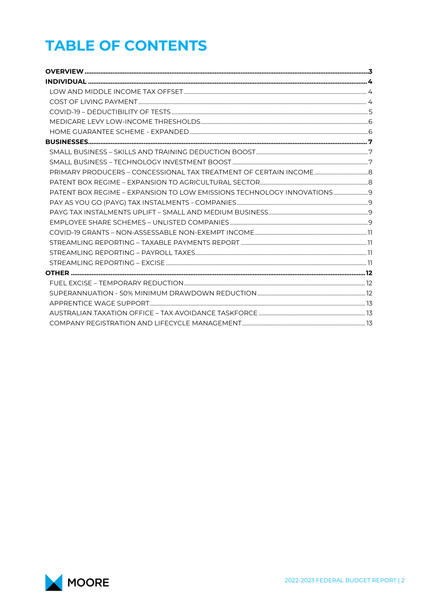# **TABLE OF CONTENTS**

| PATENT BOX REGIME - EXPANSION TO LOW EMISSIONS TECHNOLOGY INNOVATIONS |  |
|-----------------------------------------------------------------------|--|
|                                                                       |  |
|                                                                       |  |
|                                                                       |  |
|                                                                       |  |
|                                                                       |  |
|                                                                       |  |
|                                                                       |  |
|                                                                       |  |
|                                                                       |  |
|                                                                       |  |
|                                                                       |  |
|                                                                       |  |
|                                                                       |  |

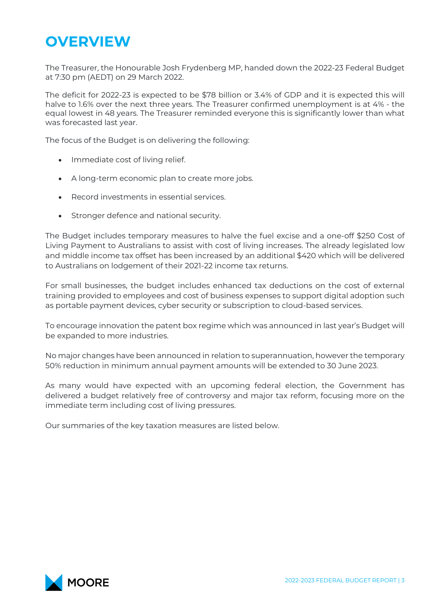## <span id="page-2-0"></span>**OVERVIEW**

The Treasurer, the Honourable Josh Frydenberg MP, handed down the 2022-23 Federal Budget at 7:30 pm (AEDT) on 29 March 2022.

The deficit for 2022-23 is expected to be \$78 billion or 3.4% of GDP and it is expected this will halve to 1.6% over the next three years. The Treasurer confirmed unemployment is at 4% - the equal lowest in 48 years. The Treasurer reminded everyone this is significantly lower than what was forecasted last year.

The focus of the Budget is on delivering the following:

- Immediate cost of living relief.
- A long-term economic plan to create more jobs.
- Record investments in essential services.
- Stronger defence and national security.

The Budget includes temporary measures to halve the fuel excise and a one-off \$250 Cost of Living Payment to Australians to assist with cost of living increases. The already legislated low and middle income tax offset has been increased by an additional \$420 which will be delivered to Australians on lodgement of their 2021-22 income tax returns.

For small businesses, the budget includes enhanced tax deductions on the cost of external training provided to employees and cost of business expenses to support digital adoption such as portable payment devices, cyber security or subscription to cloud-based services.

To encourage innovation the patent box regime which was announced in last year's Budget will be expanded to more industries.

No major changes have been announced in relation to superannuation, however the temporary 50% reduction in minimum annual payment amounts will be extended to 30 June 2023.

As many would have expected with an upcoming federal election, the Government has delivered a budget relatively free of controversy and major tax reform, focusing more on the immediate term including cost of living pressures.

Our summaries of the key taxation measures are listed below.

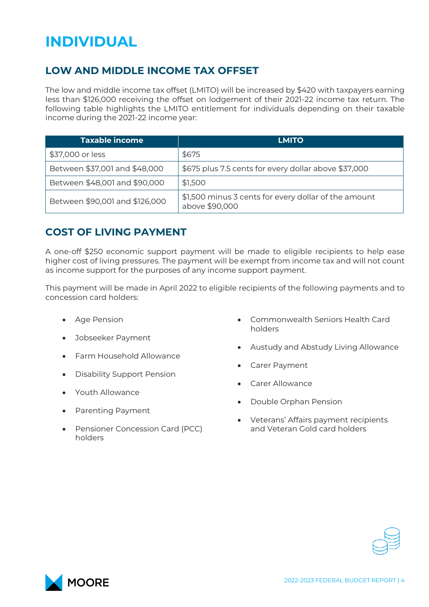## <span id="page-3-0"></span>**INDIVIDUAL**

## <span id="page-3-1"></span>**LOW AND MIDDLE INCOME TAX OFFSET**

The low and middle income tax offset (LMITO) will be increased by \$420 with taxpayers earning less than \$126,000 receiving the offset on lodgement of their 2021-22 income tax return. The following table highlights the LMITO entitlement for individuals depending on their taxable income during the 2021-22 income year:

| <b>Taxable income</b>          | <b>LMITO</b>                                                           |
|--------------------------------|------------------------------------------------------------------------|
| \$37,000 or less               | \$675                                                                  |
| Between \$37,001 and \$48,000  | \$675 plus 7.5 cents for every dollar above \$37,000                   |
| Between \$48,001 and \$90,000  | \$1,500                                                                |
| Between \$90,001 and \$126,000 | \$1,500 minus 3 cents for every dollar of the amount<br>above \$90,000 |

### <span id="page-3-2"></span>**COST OF LIVING PAYMENT**

A one-off \$250 economic support payment will be made to eligible recipients to help ease higher cost of living pressures. The payment will be exempt from income tax and will not count as income support for the purposes of any income support payment.

This payment will be made in April 2022 to eligible recipients of the following payments and to concession card holders:

- Age Pension
- Jobseeker Payment
- Farm Household Allowance
- Disability Support Pension
- Youth Allowance
- Parenting Payment
- Pensioner Concession Card (PCC) holders
- Commonwealth Seniors Health Card holders
- Austudy and Abstudy Living Allowance
- Carer Payment
- Carer Allowance
- Double Orphan Pension
- Veterans' Affairs payment recipients and Veteran Gold card holders



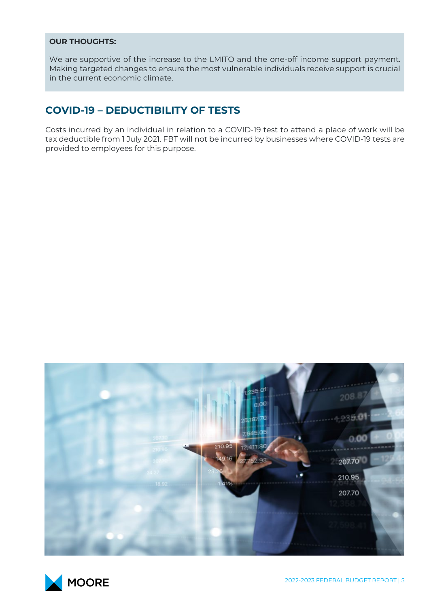#### **OUR THOUGHTS:**

We are supportive of the increase to the LMITO and the one-off income support payment. Making targeted changes to ensure the most vulnerable individuals receive support is crucial in the current economic climate.

### <span id="page-4-0"></span>**COVID-19 – DEDUCTIBILITY OF TESTS**

Costs incurred by an individual in relation to a COVID-19 test to attend a place of work will be tax deductible from 1 July 2021. FBT will not be incurred by businesses where COVID-19 tests are provided to employees for this purpose.



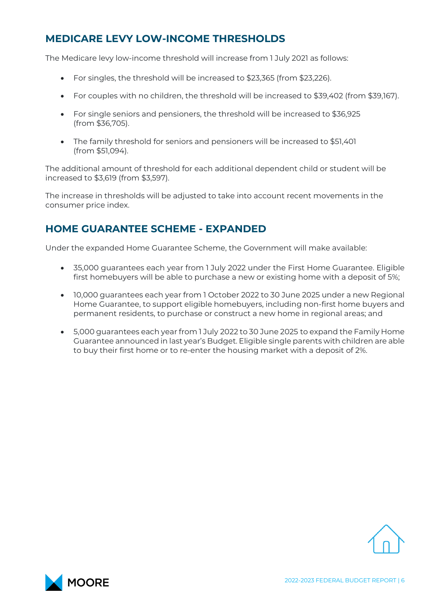### <span id="page-5-0"></span>**MEDICARE LEVY LOW-INCOME THRESHOLDS**

The Medicare levy low-income threshold will increase from 1 July 2021 as follows:

- For singles, the threshold will be increased to \$23,365 (from \$23,226).
- For couples with no children, the threshold will be increased to \$39,402 (from \$39,167).
- For single seniors and pensioners, the threshold will be increased to \$36,925 (from \$36,705).
- The family threshold for seniors and pensioners will be increased to \$51,401 (from \$51,094).

The additional amount of threshold for each additional dependent child or student will be increased to \$3,619 (from \$3,597).

The increase in thresholds will be adjusted to take into account recent movements in the consumer price index.

#### <span id="page-5-1"></span>**HOME GUARANTEE SCHEME - EXPANDED**

Under the expanded Home Guarantee Scheme, the Government will make available:

- 35,000 guarantees each year from 1 July 2022 under the First Home Guarantee. Eligible first homebuyers will be able to purchase a new or existing home with a deposit of 5%;
- 10,000 guarantees each year from 1 October 2022 to 30 June 2025 under a new Regional Home Guarantee, to support eligible homebuyers, including non-first home buyers and permanent residents, to purchase or construct a new home in regional areas; and
- 5,000 guarantees each year from 1 July 2022 to 30 June 2025 to expand the Family Home Guarantee announced in last year's Budget. Eligible single parents with children are able to buy their first home or to re-enter the housing market with a deposit of 2%.



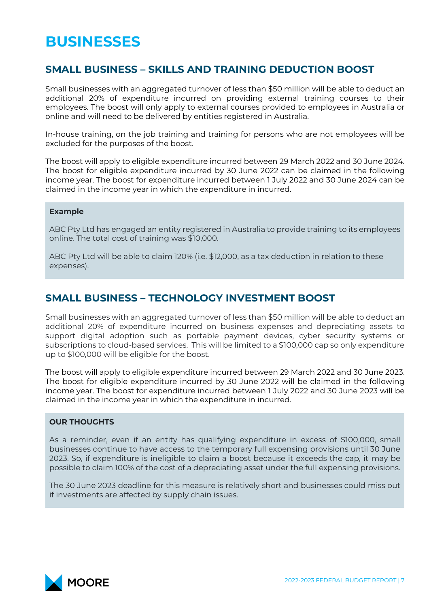## <span id="page-6-0"></span>**BUSINESSES**

#### <span id="page-6-1"></span>**SMALL BUSINESS – SKILLS AND TRAINING DEDUCTION BOOST**

Small businesses with an aggregated turnover of less than \$50 million will be able to deduct an additional 20% of expenditure incurred on providing external training courses to their employees. The boost will only apply to external courses provided to employees in Australia or online and will need to be delivered by entities registered in Australia.

In-house training, on the job training and training for persons who are not employees will be excluded for the purposes of the boost.

The boost will apply to eligible expenditure incurred between 29 March 2022 and 30 June 2024. The boost for eligible expenditure incurred by 30 June 2022 can be claimed in the following income year. The boost for expenditure incurred between 1 July 2022 and 30 June 2024 can be claimed in the income year in which the expenditure in incurred.

#### **Example**

ABC Pty Ltd has engaged an entity registered in Australia to provide training to its employees online. The total cost of training was \$10,000.

ABC Pty Ltd will be able to claim 120% (i.e. \$12,000, as a tax deduction in relation to these expenses).

#### <span id="page-6-2"></span>**SMALL BUSINESS – TECHNOLOGY INVESTMENT BOOST**

Small businesses with an aggregated turnover of less than \$50 million will be able to deduct an additional 20% of expenditure incurred on business expenses and depreciating assets to support digital adoption such as portable payment devices, cyber security systems or subscriptions to cloud-based services. This will be limited to a \$100,000 cap so only expenditure up to \$100,000 will be eligible for the boost.

The boost will apply to eligible expenditure incurred between 29 March 2022 and 30 June 2023. The boost for eligible expenditure incurred by 30 June 2022 will be claimed in the following income year. The boost for expenditure incurred between 1 July 2022 and 30 June 2023 will be claimed in the income year in which the expenditure in incurred.

#### **OUR THOUGHTS**

As a reminder, even if an entity has qualifying expenditure in excess of \$100,000, small businesses continue to have access to the temporary full expensing provisions until 30 June 2023. So, if expenditure is ineligible to claim a boost because it exceeds the cap, it may be possible to claim 100% of the cost of a depreciating asset under the full expensing provisions.

The 30 June 2023 deadline for this measure is relatively short and businesses could miss out if investments are affected by supply chain issues.

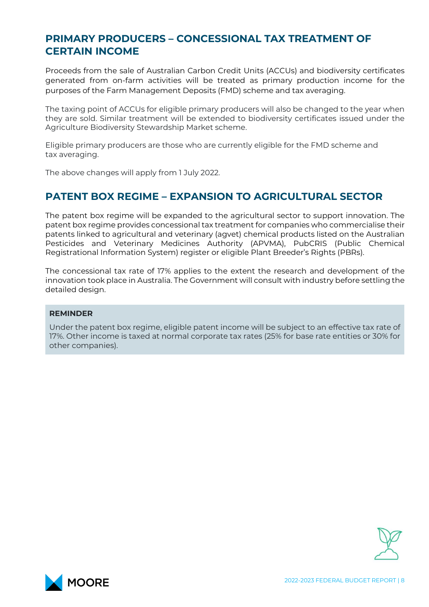#### <span id="page-7-0"></span>**PRIMARY PRODUCERS – CONCESSIONAL TAX TREATMENT OF CERTAIN INCOME**

Proceeds from the sale of Australian Carbon Credit Units (ACCUs) and biodiversity certificates generated from on-farm activities will be treated as primary production income for the purposes of the Farm Management Deposits (FMD) scheme and tax averaging.

The taxing point of ACCUs for eligible primary producers will also be changed to the year when they are sold. Similar treatment will be extended to biodiversity certificates issued under the Agriculture Biodiversity Stewardship Market scheme.

Eligible primary producers are those who are currently eligible for the FMD scheme and tax averaging.

The above changes will apply from 1 July 2022.

#### <span id="page-7-1"></span>**PATENT BOX REGIME – EXPANSION TO AGRICULTURAL SECTOR**

The patent box regime will be expanded to the agricultural sector to support innovation. The patent box regime provides concessional tax treatment for companies who commercialise their patents linked to agricultural and veterinary (agvet) chemical products listed on the Australian Pesticides and Veterinary Medicines Authority (APVMA), PubCRIS (Public Chemical Registrational Information System) register or eligible Plant Breeder's Rights (PBRs).

The concessional tax rate of 17% applies to the extent the research and development of the innovation took place in Australia. The Government will consult with industry before settling the detailed design.

#### **REMINDER**

Under the patent box regime, eligible patent income will be subject to an effective tax rate of 17%. Other income is taxed at normal corporate tax rates (25% for base rate entities or 30% for other companies).



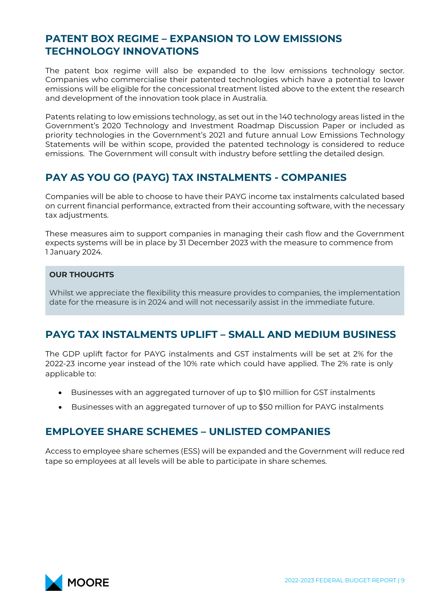#### <span id="page-8-0"></span>**PATENT BOX REGIME – EXPANSION TO LOW EMISSIONS TECHNOLOGY INNOVATIONS**

The patent box regime will also be expanded to the low emissions technology sector. Companies who commercialise their patented technologies which have a potential to lower emissions will be eligible for the concessional treatment listed above to the extent the research and development of the innovation took place in Australia.

Patents relating to low emissions technology, as set out in the 140 technology areas listed in the Government's 2020 Technology and Investment Roadmap Discussion Paper or included as priority technologies in the Government's 2021 and future annual Low Emissions Technology Statements will be within scope, provided the patented technology is considered to reduce emissions. The Government will consult with industry before settling the detailed design.

### <span id="page-8-1"></span>**PAY AS YOU GO (PAYG) TAX INSTALMENTS - COMPANIES**

Companies will be able to choose to have their PAYG income tax instalments calculated based on current financial performance, extracted from their accounting software, with the necessary tax adjustments.

These measures aim to support companies in managing their cash flow and the Government expects systems will be in place by 31 December 2023 with the measure to commence from 1 January 2024.

#### **OUR THOUGHTS**

Whilst we appreciate the flexibility this measure provides to companies, the implementation date for the measure is in 2024 and will not necessarily assist in the immediate future.

### <span id="page-8-2"></span>**PAYG TAX INSTALMENTS UPLIFT – SMALL AND MEDIUM BUSINESS**

The GDP uplift factor for PAYG instalments and GST instalments will be set at 2% for the 2022-23 income year instead of the 10% rate which could have applied. The 2% rate is only applicable to:

- Businesses with an aggregated turnover of up to \$10 million for GST instalments
- Businesses with an aggregated turnover of up to \$50 million for PAYG instalments

#### <span id="page-8-3"></span>**EMPLOYEE SHARE SCHEMES – UNLISTED COMPANIES**

Access to employee share schemes (ESS) will be expanded and the Government will reduce red tape so employees at all levels will be able to participate in share schemes.

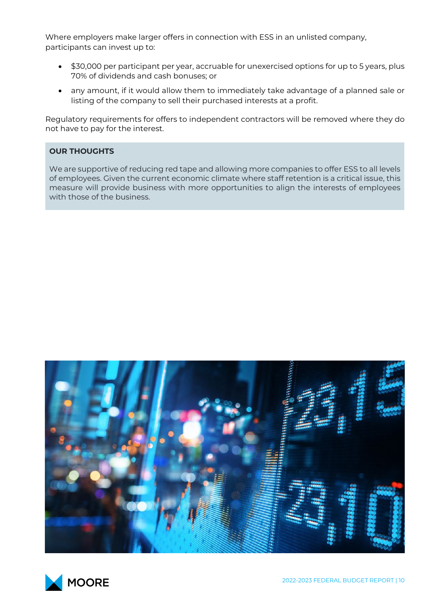Where employers make larger offers in connection with ESS in an unlisted company, participants can invest up to:

- \$30,000 per participant per year, accruable for unexercised options for up to 5 years, plus 70% of dividends and cash bonuses; or
- any amount, if it would allow them to immediately take advantage of a planned sale or listing of the company to sell their purchased interests at a profit.

Regulatory requirements for offers to independent contractors will be removed where they do not have to pay for the interest.

#### **OUR THOUGHTS**

We are supportive of reducing red tape and allowing more companies to offer ESS to all levels of employees. Given the current economic climate where staff retention is a critical issue, this measure will provide business with more opportunities to align the interests of employees with those of the business.



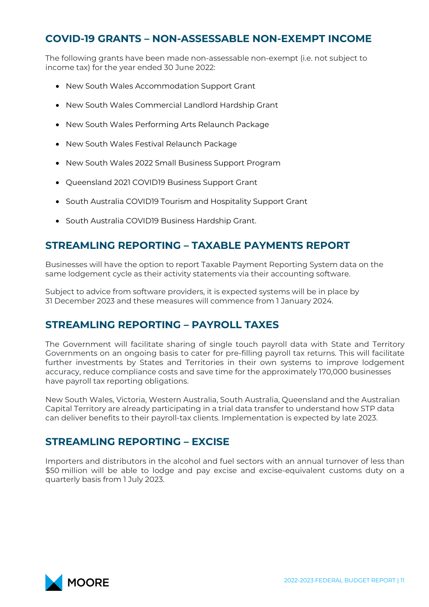#### <span id="page-10-0"></span>**COVID-19 GRANTS – NON-ASSESSABLE NON-EXEMPT INCOME**

The following grants have been made non-assessable non-exempt (i.e. not subject to income tax) for the year ended 30 June 2022:

- New South Wales Accommodation Support Grant
- New South Wales Commercial Landlord Hardship Grant
- New South Wales Performing Arts Relaunch Package
- New South Wales Festival Relaunch Package
- New South Wales 2022 Small Business Support Program
- Queensland 2021 COVID19 Business Support Grant
- South Australia COVID19 Tourism and Hospitality Support Grant
- South Australia COVID19 Business Hardship Grant.

#### <span id="page-10-1"></span>**STREAMLING REPORTING – TAXABLE PAYMENTS REPORT**

Businesses will have the option to report Taxable Payment Reporting System data on the same lodgement cycle as their activity statements via their accounting software.

Subject to advice from software providers, it is expected systems will be in place by 31 December 2023 and these measures will commence from 1 January 2024.

#### <span id="page-10-2"></span>**STREAMLING REPORTING – PAYROLL TAXES**

The Government will facilitate sharing of single touch payroll data with State and Territory Governments on an ongoing basis to cater for pre-filling payroll tax returns. This will facilitate further investments by States and Territories in their own systems to improve lodgement accuracy, reduce compliance costs and save time for the approximately 170,000 businesses have payroll tax reporting obligations.

New South Wales, Victoria, Western Australia, South Australia, Queensland and the Australian Capital Territory are already participating in a trial data transfer to understand how STP data can deliver benefits to their payroll-tax clients. Implementation is expected by late 2023.

#### <span id="page-10-3"></span>**STREAMLING REPORTING – EXCISE**

Importers and distributors in the alcohol and fuel sectors with an annual turnover of less than \$50 million will be able to lodge and pay excise and excise-equivalent customs duty on a quarterly basis from 1 July 2023.

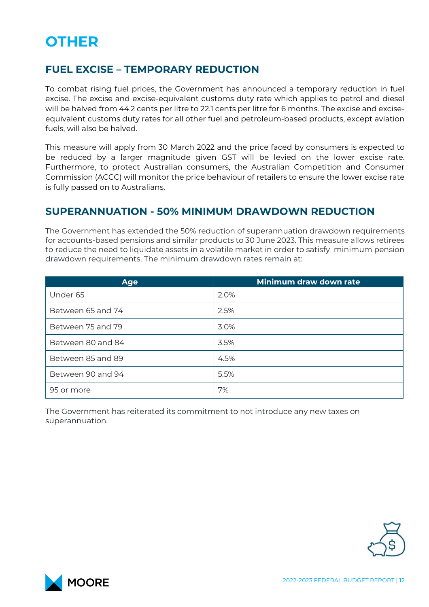## <span id="page-11-0"></span>**OTHER**

#### <span id="page-11-1"></span>**FUEL EXCISE – TEMPORARY REDUCTION**

To combat rising fuel prices, the Government has announced a temporary reduction in fuel excise. The excise and excise-equivalent customs duty rate which applies to petrol and diesel will be halved from 44.2 cents per litre to 22.1 cents per litre for 6 months. The excise and exciseequivalent customs duty rates for all other fuel and petroleum-based products, except aviation fuels, will also be halved.

This measure will apply from 30 March 2022 and the price faced by consumers is expected to be reduced by a larger magnitude given GST will be levied on the lower excise rate. Furthermore, to protect Australian consumers, the Australian Competition and Consumer Commission (ACCC) will monitor the price behaviour of retailers to ensure the lower excise rate is fully passed on to Australians.

#### <span id="page-11-2"></span>**SUPERANNUATION - 50% MINIMUM DRAWDOWN REDUCTION**

The Government has extended the 50% reduction of superannuation drawdown requirements for accounts-based pensions and similar products to 30 June 2023. This measure allows retirees to reduce the need to liquidate assets in a volatile market in order to satisfy minimum pension drawdown requirements. The minimum drawdown rates remain at:

| <b>Age</b>        | Minimum draw down rate |
|-------------------|------------------------|
| Under 65          | 2.0%                   |
| Between 65 and 74 | 2.5%                   |
| Between 75 and 79 | 3.0%                   |
| Between 80 and 84 | 3.5%                   |
| Between 85 and 89 | 4.5%                   |
| Between 90 and 94 | 5.5%                   |
| 95 or more        | 7%                     |

The Government has reiterated its commitment to not introduce any new taxes on superannuation.



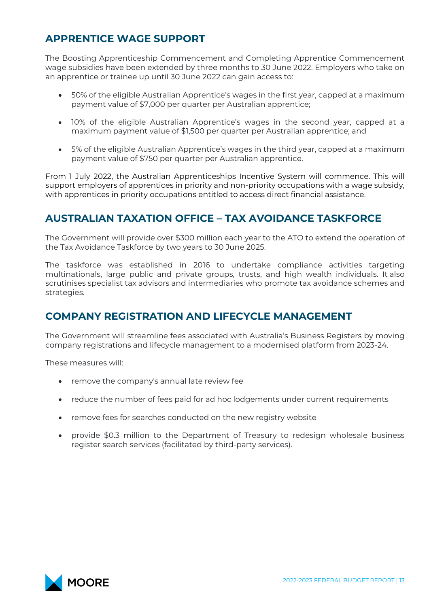## <span id="page-12-0"></span>**APPRENTICE WAGE SUPPORT**

The Boosting Apprenticeship Commencement and Completing Apprentice Commencement wage subsidies have been extended by three months to 30 June 2022. Employers who take on an apprentice or trainee up until 30 June 2022 can gain access to:

- 50% of the eligible Australian Apprentice's wages in the first year, capped at a maximum payment value of \$7,000 per quarter per Australian apprentice;
- 10% of the eligible Australian Apprentice's wages in the second year, capped at a maximum payment value of \$1,500 per quarter per Australian apprentice; and
- 5% of the eligible Australian Apprentice's wages in the third year, capped at a maximum payment value of \$750 per quarter per Australian apprentice.

From 1 July 2022, the Australian Apprenticeships Incentive System will commence. This will support employers of apprentices in priority and non-priority occupations with a wage subsidy, with apprentices in priority occupations entitled to access direct financial assistance.

#### <span id="page-12-1"></span>**AUSTRALIAN TAXATION OFFICE – TAX AVOIDANCE TASKFORCE**

The Government will provide over \$300 million each year to the ATO to extend the operation of the Tax Avoidance Taskforce by two years to 30 June 2025.

The taskforce was established in 2016 to undertake compliance activities targeting multinationals, large public and private groups, trusts, and high wealth individuals. It also scrutinises specialist tax advisors and intermediaries who promote tax avoidance schemes and strategies.

#### <span id="page-12-2"></span>**COMPANY REGISTRATION AND LIFECYCLE MANAGEMENT**

The Government will streamline fees associated with Australia's Business Registers by moving company registrations and lifecycle management to a modernised platform from 2023-24.

These measures will:

- remove the company's annual late review fee
- reduce the number of fees paid for ad hoc lodgements under current requirements
- remove fees for searches conducted on the new registry website
- provide \$0.3 million to the Department of Treasury to redesign wholesale business register search services (facilitated by third-party services).